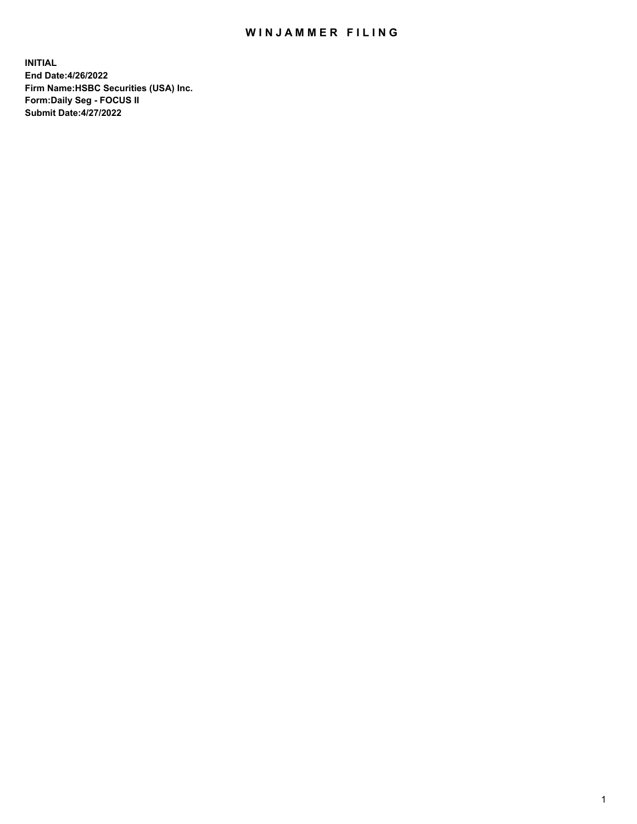## WIN JAMMER FILING

**INITIAL End Date:4/26/2022 Firm Name:HSBC Securities (USA) Inc. Form:Daily Seg - FOCUS II Submit Date:4/27/2022**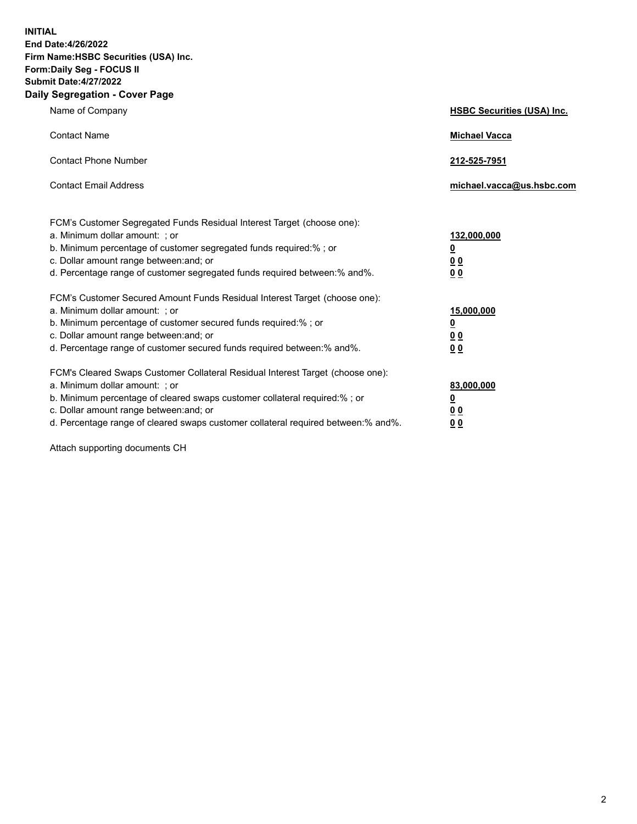**INITIAL End Date:4/26/2022 Firm Name:HSBC Securities (USA) Inc. Form:Daily Seg - FOCUS II Submit Date:4/27/2022 Daily Segregation - Cover Page**

| Name of Company                                                                                                                                                                                                                                                                                                                | <b>HSBC Securities (USA) Inc.</b>               |
|--------------------------------------------------------------------------------------------------------------------------------------------------------------------------------------------------------------------------------------------------------------------------------------------------------------------------------|-------------------------------------------------|
| <b>Contact Name</b>                                                                                                                                                                                                                                                                                                            | <b>Michael Vacca</b>                            |
| <b>Contact Phone Number</b>                                                                                                                                                                                                                                                                                                    | 212-525-7951                                    |
| <b>Contact Email Address</b>                                                                                                                                                                                                                                                                                                   | michael.vacca@us.hsbc.com                       |
| FCM's Customer Segregated Funds Residual Interest Target (choose one):<br>a. Minimum dollar amount: ; or<br>b. Minimum percentage of customer segregated funds required:% ; or<br>c. Dollar amount range between: and; or<br>d. Percentage range of customer segregated funds required between:% and%.                         | 132,000,000<br><u>0</u><br>00<br>0 <sub>0</sub> |
| FCM's Customer Secured Amount Funds Residual Interest Target (choose one):<br>a. Minimum dollar amount: ; or<br>b. Minimum percentage of customer secured funds required:%; or<br>c. Dollar amount range between: and; or<br>d. Percentage range of customer secured funds required between:% and%.                            | 15,000,000<br><u>0</u><br>0 <sub>0</sub><br>00  |
| FCM's Cleared Swaps Customer Collateral Residual Interest Target (choose one):<br>a. Minimum dollar amount: ; or<br>b. Minimum percentage of cleared swaps customer collateral required:% ; or<br>c. Dollar amount range between: and; or<br>d. Percentage range of cleared swaps customer collateral required between:% and%. | 83,000,000<br><u>0</u><br><u>00</u><br>00       |

Attach supporting documents CH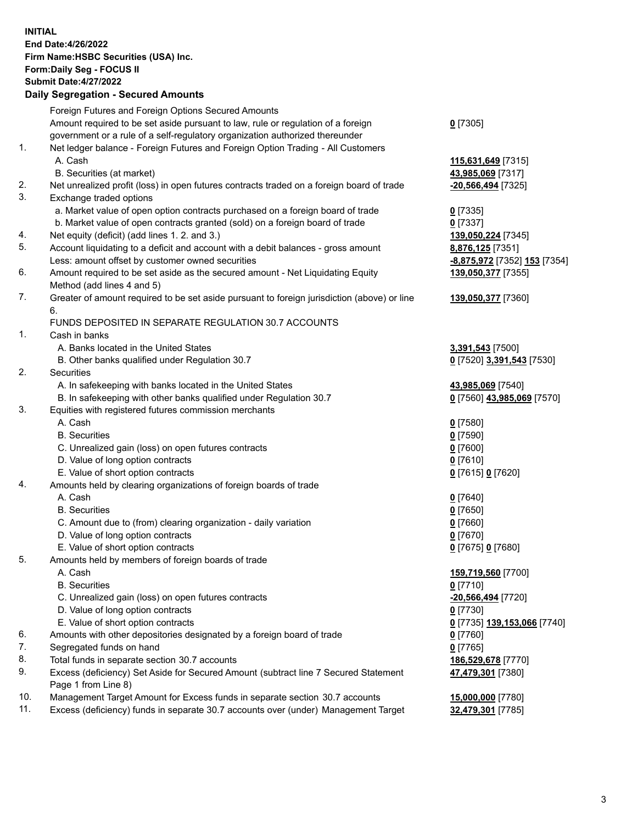**INITIAL End Date:4/26/2022 Firm Name:HSBC Securities (USA) Inc. Form:Daily Seg - FOCUS II Submit Date:4/27/2022 Daily Segregation - Secured Amounts** Foreign Futures and Foreign Options Secured Amounts Amount required to be set aside pursuant to law, rule or regulation of a foreign government or a rule of a self-regulatory organization authorized thereunder **0** [7305] 1. Net ledger balance - Foreign Futures and Foreign Option Trading - All Customers A. Cash **115,631,649** [7315] B. Securities (at market) **43,985,069** [7317] 2. Net unrealized profit (loss) in open futures contracts traded on a foreign board of trade **-20,566,494** [7325] 3. Exchange traded options a. Market value of open option contracts purchased on a foreign board of trade **0** [7335] b. Market value of open contracts granted (sold) on a foreign board of trade **0** [7337] 4. Net equity (deficit) (add lines 1. 2. and 3.) **139,050,224** [7345] 5. Account liquidating to a deficit and account with a debit balances - gross amount **8,876,125** [7351] Less: amount offset by customer owned securities **-8,875,972** [7352] **153** [7354] 6. Amount required to be set aside as the secured amount - Net Liquidating Equity Method (add lines 4 and 5) **139,050,377** [7355] 7. Greater of amount required to be set aside pursuant to foreign jurisdiction (above) or line 6. **139,050,377** [7360] FUNDS DEPOSITED IN SEPARATE REGULATION 30.7 ACCOUNTS 1. Cash in banks A. Banks located in the United States **3,391,543** [7500] B. Other banks qualified under Regulation 30.7 **0** [7520] **3,391,543** [7530] 2. Securities A. In safekeeping with banks located in the United States **43,985,069** [7540] B. In safekeeping with other banks qualified under Regulation 30.7 **0** [7560] **43,985,069** [7570] 3. Equities with registered futures commission merchants A. Cash **0** [7580] B. Securities **0** [7590] C. Unrealized gain (loss) on open futures contracts **0** [7600] D. Value of long option contracts **0** [7610] E. Value of short option contracts **0** [7615] **0** [7620] 4. Amounts held by clearing organizations of foreign boards of trade A. Cash **0** [7640] B. Securities **0** [7650] C. Amount due to (from) clearing organization - daily variation **0** [7660] D. Value of long option contracts **0** [7670] E. Value of short option contracts **0** [7675] **0** [7680] 5. Amounts held by members of foreign boards of trade A. Cash **159,719,560** [7700] B. Securities **0** [7710] C. Unrealized gain (loss) on open futures contracts **-20,566,494** [7720] D. Value of long option contracts **0** [7730] E. Value of short option contracts **0** [7735] **139,153,066** [7740] 6. Amounts with other depositories designated by a foreign board of trade **0** [7760] 7. Segregated funds on hand **0** [7765] 8. Total funds in separate section 30.7 accounts **186,529,678** [7770] 9. Excess (deficiency) Set Aside for Secured Amount (subtract line 7 Secured Statement Page 1 from Line 8) **47,479,301** [7380] 10. Management Target Amount for Excess funds in separate section 30.7 accounts **15,000,000** [7780]

11. Excess (deficiency) funds in separate 30.7 accounts over (under) Management Target **32,479,301** [7785]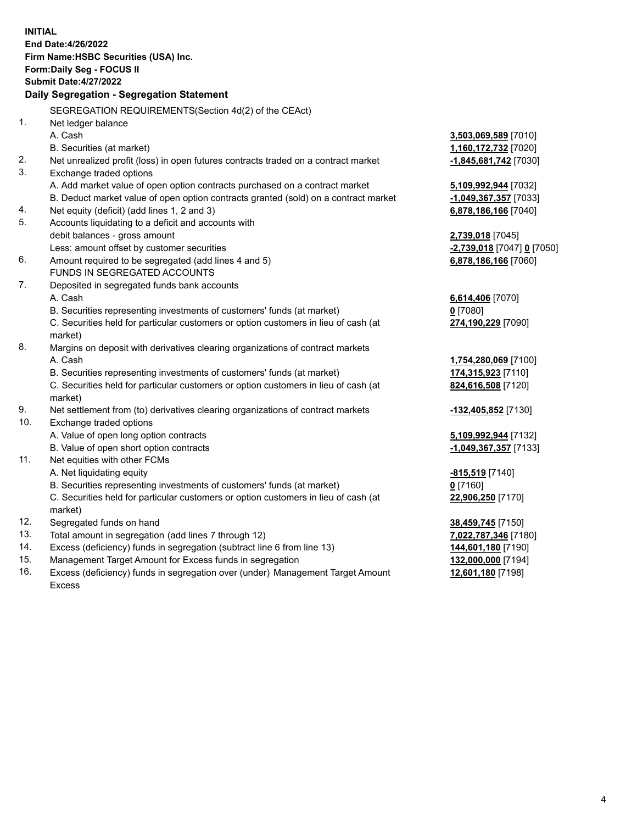**INITIAL End Date:4/26/2022 Firm Name:HSBC Securities (USA) Inc. Form:Daily Seg - FOCUS II Submit Date:4/27/2022 Daily Segregation - Segregation Statement** SEGREGATION REQUIREMENTS(Section 4d(2) of the CEAct) 1. Net ledger balance A. Cash **3,503,069,589** [7010] B. Securities (at market) **1,160,172,732** [7020] 2. Net unrealized profit (loss) in open futures contracts traded on a contract market **-1,845,681,742** [7030] 3. Exchange traded options A. Add market value of open option contracts purchased on a contract market **5,109,992,944** [7032] B. Deduct market value of open option contracts granted (sold) on a contract market **-1,049,367,357** [7033] 4. Net equity (deficit) (add lines 1, 2 and 3) **6,878,186,166** [7040] 5. Accounts liquidating to a deficit and accounts with debit balances - gross amount **2,739,018** [7045] Less: amount offset by customer securities **-2,739,018** [7047] **0** [7050] 6. Amount required to be segregated (add lines 4 and 5) **6,878,186,166** [7060] FUNDS IN SEGREGATED ACCOUNTS 7. Deposited in segregated funds bank accounts A. Cash **6,614,406** [7070] B. Securities representing investments of customers' funds (at market) **0** [7080] C. Securities held for particular customers or option customers in lieu of cash (at market) **274,190,229** [7090] 8. Margins on deposit with derivatives clearing organizations of contract markets A. Cash **1,754,280,069** [7100] B. Securities representing investments of customers' funds (at market) **174,315,923** [7110] C. Securities held for particular customers or option customers in lieu of cash (at market) **824,616,508** [7120] 9. Net settlement from (to) derivatives clearing organizations of contract markets **-132,405,852** [7130] 10. Exchange traded options A. Value of open long option contracts **5,109,992,944** [7132] B. Value of open short option contracts **-1,049,367,357** [7133] 11. Net equities with other FCMs A. Net liquidating equity **-815,519** [7140] B. Securities representing investments of customers' funds (at market) **0** [7160] C. Securities held for particular customers or option customers in lieu of cash (at market) **22,906,250** [7170] 12. Segregated funds on hand **38,459,745** [7150] 13. Total amount in segregation (add lines 7 through 12) **7,022,787,346** [7180] 14. Excess (deficiency) funds in segregation (subtract line 6 from line 13) **144,601,180** [7190] 15. Management Target Amount for Excess funds in segregation **132,000,000** [7194] **12,601,180** [7198]

16. Excess (deficiency) funds in segregation over (under) Management Target Amount Excess